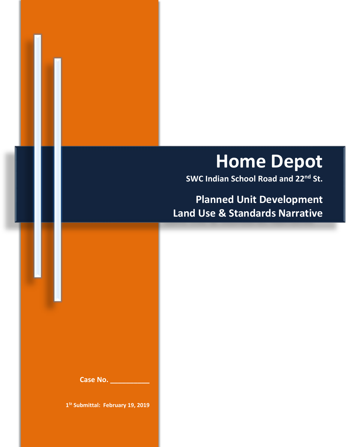# **Home Depot**

**SWC Indian School Road and 22nd St.**

**Planned Unit Development Land Use & Standards Narrative**

**Case No. \_\_\_\_\_\_\_\_\_\_**

**1St Submittal: February 19, 2019**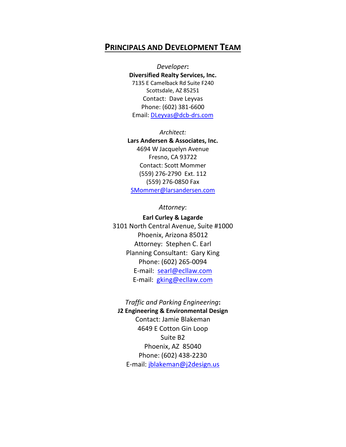### **PRINCIPALS AND DEVELOPMENT TEAM**

*Developer***: Diversified Realty Services, Inc.**  7135 E Camelback Rd Suite F240 Scottsdale, AZ 85251 Contact: Dave Leyvas Phone: (602) 381-6600 Email: [DLeyvas@dcb-drs.com](mailto:DLeyvas@dcb-drs.com)

*Architect:* **Lars Andersen & Associates, Inc.** 4694 W Jacquelyn Avenue Fresno, CA 93722 Contact: Scott Mommer (559) 276-2790 Ext. 112 (559) 276-0850 Fax [SMommer@larsandersen.com](mailto:SMommer@larsandersen.com)

*Attorney*:

**Earl Curley & Lagarde** 3101 North Central Avenue, Suite #1000 Phoenix, Arizona 85012 Attorney: Stephen C. Earl Planning Consultant: Gary King Phone: (602) 265-0094 E-mail: [searl@ecllaw.com](mailto:searl@ecllaw.com) E-mail: [gking@ecllaw.com](mailto:gking@ecllaw.com)

*Traffic and Parking Engineering***: J2 Engineering & Environmental Design** Contact: Jamie Blakeman 4649 E Cotton Gin Loop Suite B2 Phoenix, AZ 85040 Phone: (602) 438-2230 E-mail: [jblakeman@j2design.us](mailto:jblakeman@j2design.us)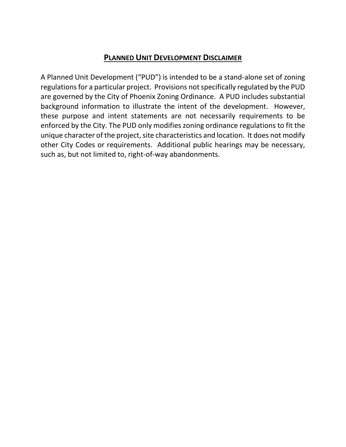### **PLANNED UNIT DEVELOPMENT DISCLAIMER**

A Planned Unit Development ("PUD") is intended to be a stand-alone set of zoning regulations for a particular project. Provisions not specifically regulated by the PUD are governed by the City of Phoenix Zoning Ordinance. A PUD includes substantial background information to illustrate the intent of the development. However, these purpose and intent statements are not necessarily requirements to be enforced by the City. The PUD only modifies zoning ordinance regulations to fit the unique character of the project, site characteristics and location. It does not modify other City Codes or requirements. Additional public hearings may be necessary, such as, but not limited to, right-of-way abandonments.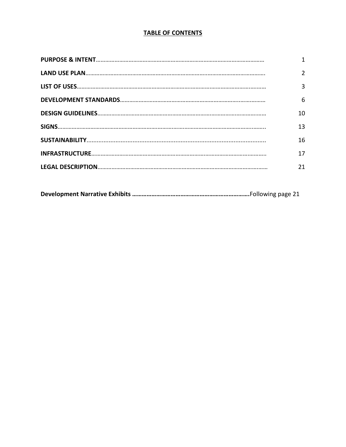### **TABLE OF CONTENTS**

| 2  |
|----|
| 3  |
| 6  |
| 10 |
| 13 |
| 16 |
| 17 |
| 21 |
|    |

|--|--|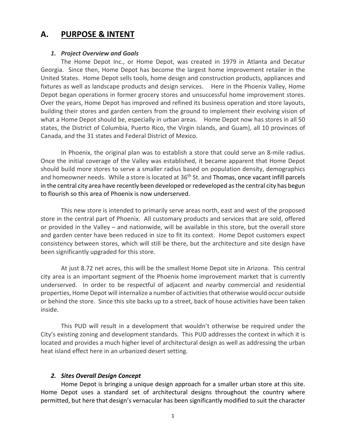### **A. PURPOSE & INTENT**

#### *1. Project Overview and Goals*

The Home Depot Inc., or Home Depot, was created in 1979 in Atlanta and Decatur Georgia. Since then, Home Depot has become the largest home improvement retailer in the United States. Home Depot sells tools, home design and construction products, appliances and fixtures as well as landscape products and design services. Here in the Phoenix Valley, Home Depot began operations in former grocery stores and unsuccessful home improvement stores. Over the years, Home Depot has improved and refined its business operation and store layouts, building their stores and garden centers from the ground to implement their evolving vision of what a Home Depot should be, especially in urban areas. Home Depot now has stores in all 50 states, the District of Columbia, Puerto Rico, the Virgin Islands, and Guam), all 10 provinces of Canada, and the 31 states and Federal District of Mexico.

In Phoenix, the original plan was to establish a store that could serve an 8-mile radius. Once the initial coverage of the Valley was established, it became apparent that Home Depot should build more stores to serve a smaller radius based on population density, demographics and homeowner needs. While a store is located at 36<sup>th</sup> St. and Thomas, once vacant infill parcels in the central city area have recently been developed or redeveloped as the central city has begun to flourish so this area of Phoenix is now underserved.

This new store is intended to primarily serve areas north, east and west of the proposed store in the central part of Phoenix. All customary products and services that are sold, offered or provided in the Valley – and nationwide, will be available in this store, but the overall store and garden center have been reduced in size to fit its context. Home Depot customers expect consistency between stores, which will still be there, but the architecture and site design have been significantly upgraded for this store.

At just 8.72 net acres, this will be the smallest Home Depot site in Arizona. This central city area is an important segment of the Phoenix home improvement market that is currently underserved. In order to be respectful of adjacent and nearby commercial and residential properties, Home Depot will internalize a number of activities that otherwise would occur outside or behind the store. Since this site backs up to a street, back of house activities have been taken inside.

This PUD will result in a development that wouldn't otherwise be required under the City's existing zoning and development standards. This PUD addresses the context in which it is located and provides a much higher level of architectural design as well as addressing the urban heat island effect here in an urbanized desert setting.

#### *2. Sites Overall Design Concept*

Home Depot is bringing a unique design approach for a smaller urban store at this site. Home Depot uses a standard set of architectural designs throughout the country where permitted, but here that design's vernacular has been significantly modified to suit the character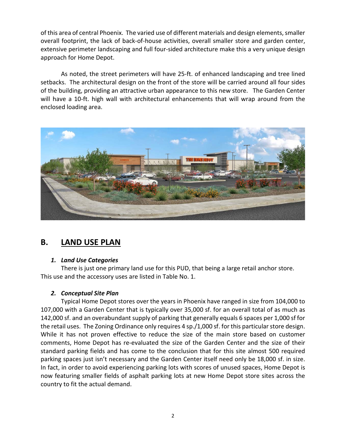of this area of central Phoenix. The varied use of different materials and design elements, smaller overall footprint, the lack of back-of-house activities, overall smaller store and garden center, extensive perimeter landscaping and full four-sided architecture make this a very unique design approach for Home Depot.

As noted, the street perimeters will have 25-ft. of enhanced landscaping and tree lined setbacks. The architectural design on the front of the store will be carried around all four sides of the building, providing an attractive urban appearance to this new store. The Garden Center will have a 10-ft. high wall with architectural enhancements that will wrap around from the enclosed loading area.



# **B. LAND USE PLAN**

### *1. Land Use Categories*

There is just one primary land use for this PUD, that being a large retail anchor store. This use and the accessory uses are listed in Table No. 1.

### *2. Conceptual Site Plan*

Typical Home Depot stores over the years in Phoenix have ranged in size from 104,000 to 107,000 with a Garden Center that is typically over 35,000 sf. for an overall total of as much as 142,000 sf. and an overabundant supply of parking that generally equals 6 spaces per 1,000 sf for the retail uses. The Zoning Ordinance only requires 4 sp./1,000 sf. for this particular store design. While it has not proven effective to reduce the size of the main store based on customer comments, Home Depot has re-evaluated the size of the Garden Center and the size of their standard parking fields and has come to the conclusion that for this site almost 500 required parking spaces just isn't necessary and the Garden Center itself need only be 18,000 sf. in size. In fact, in order to avoid experiencing parking lots with scores of unused spaces, Home Depot is now featuring smaller fields of asphalt parking lots at new Home Depot store sites across the country to fit the actual demand.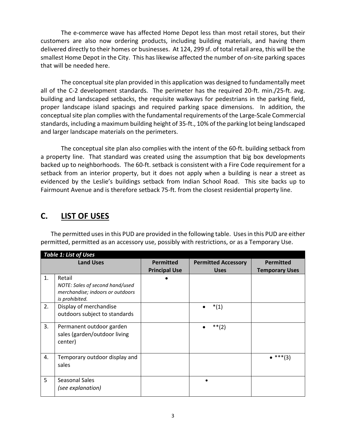The e-commerce wave has affected Home Depot less than most retail stores, but their customers are also now ordering products, including building materials, and having them delivered directly to their homes or businesses. At 124, 299 sf. of total retail area, this will be the smallest Home Depot in the City. This has likewise affected the number of on-site parking spaces that will be needed here.

The conceptual site plan provided in this application was designed to fundamentally meet all of the C-2 development standards. The perimeter has the required 20-ft. min./25-ft. avg. building and landscaped setbacks, the requisite walkways for pedestrians in the parking field, proper landscape island spacings and required parking space dimensions. In addition, the conceptual site plan complies with the fundamental requirements of the Large-Scale Commercial standards, including a maximum building height of 35-ft., 10% of the parking lot being landscaped and larger landscape materials on the perimeters.

The conceptual site plan also complies with the intent of the 60-ft. building setback from a property line. That standard was created using the assumption that big box developments backed up to neighborhoods. The 60-ft. setback is consistent with a Fire Code requirement for a setback from an interior property, but it does not apply when a building is near a street as evidenced by the Leslie's buildings setback from Indian School Road. This site backs up to Fairmount Avenue and is therefore setback 75-ft. from the closest residential property line.

# **C. LIST OF USES**

| The permitted uses in this PUD are provided in the following table. Uses in this PUD are either |
|-------------------------------------------------------------------------------------------------|
| permitted, permitted as an accessory use, possibly with restrictions, or as a Temporary Use.    |

|    | <b>Table 1: List of Uses</b>                                                                    |                                          |                                           |                                           |
|----|-------------------------------------------------------------------------------------------------|------------------------------------------|-------------------------------------------|-------------------------------------------|
|    | <b>Land Uses</b>                                                                                | <b>Permitted</b><br><b>Principal Use</b> | <b>Permitted Accessory</b><br><b>Uses</b> | <b>Permitted</b><br><b>Temporary Uses</b> |
| 1. | Retail<br>NOTE: Sales of second hand/used<br>merchandise; indoors or outdoors<br>is prohibited. |                                          |                                           |                                           |
| 2. | Display of merchandise<br>outdoors subject to standards                                         |                                          | $*(1)$                                    |                                           |
| 3. | Permanent outdoor garden<br>sales (garden/outdoor living<br>center)                             |                                          | $**(2)$                                   |                                           |
| 4. | Temporary outdoor display and<br>sales                                                          |                                          |                                           | $\bullet$ ***(3)                          |
| 5  | Seasonal Sales<br>(see explanation)                                                             |                                          |                                           |                                           |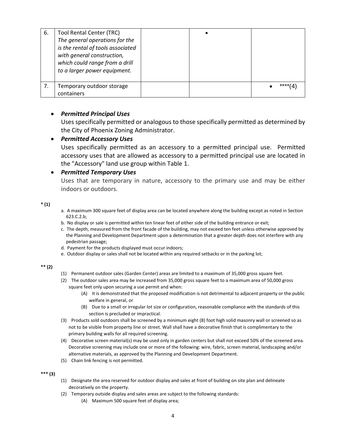| 6. | <b>Tool Rental Center (TRC)</b><br>The general operations for the<br>is the rental of tools associated<br>with general construction,<br>which could range from a drill<br>to a larger power equipment. |  |      |
|----|--------------------------------------------------------------------------------------------------------------------------------------------------------------------------------------------------------|--|------|
|    | Temporary outdoor storage<br>containers                                                                                                                                                                |  | **** |

#### • *Permitted Principal Uses*

Uses specifically permitted or analogous to those specifically permitted as determined by the City of Phoenix Zoning Administrator.

#### • *Permitted Accessory Uses*

Uses specifically permitted as an accessory to a permitted principal use. Permitted accessory uses that are allowed as accessory to a permitted principal use are located in the "Accessory" land use group within Table 1.

#### • *Permitted Temporary Uses*

Uses that are temporary in nature, accessory to the primary use and may be either indoors or outdoors.

**\* (1)**

- a. A maximum 300 square feet of display area can be located anywhere along the building except as noted in Section 623.C.2.b;
- b. No display or sale is permitted within ten linear feet of either side of the building entrance or exit;
- c. The depth, measured from the front facade of the building, may not exceed ten feet unless otherwise approved by the Planning and Development Department upon a determination that a greater depth does not interfere with any pedestrian passage;
- d. Payment for the products displayed must occur indoors;
- e. Outdoor display or sales shall not be located within any required setbacks or in the parking lot;

**\*\* (2)**

- (1) Permanent outdoor sales (Garden Center) areas are limited to a maximum of 35,000 gross square feet.
- (2) The outdoor sales area may be increased from 35,000 gross square feet to a maximum area of 50,000 gross square feet only upon securing a use permit and when:
	- (A) It is demonstrated that the proposed modification is not detrimental to adjacent property or the public welfare in general, or
	- (B) Due to a small or irregular lot size or configuration, reasonable compliance with the standards of this section is precluded or impractical.
- (3) Products sold outdoors shall be screened by a minimum eight (8) foot high solid masonry wall or screened so as not to be visible from property line or street. Wall shall have a decorative finish that is complimentary to the primary building walls for all required screening.
- (4) Decorative screen material(s) may be used only in garden centers but shall not exceed 50% of the screened area. Decorative screening may include one or more of the following: wire, fabric, screen material, landscaping and/or alternative materials, as approved by the Planning and Development Department.
- (5) Chain link fencing is not permitted.

**\*\*\* (3)**

- (1) Designate the area reserved for outdoor display and sales at front of building on site plan and delineate decoratively on the property.
- (2) Temporary outside display and sales areas are subject to the following standards:
	- (A) Maximum 500 square feet of display area;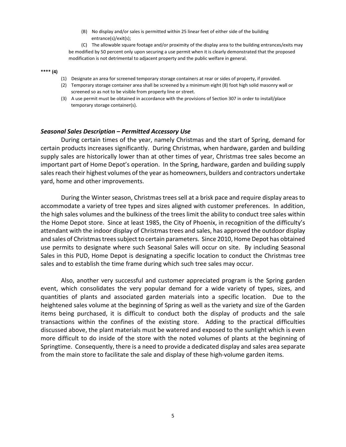(B) No display and/or sales is permitted within 25 linear feet of either side of the building entrance(s)/exit(s);

(C) The allowable square footage and/or proximity of the display area to the building entrances/exits may be modified by 50 percent only upon securing a use permit when it is clearly demonstrated that the proposed modification is not detrimental to adjacent property and the public welfare in general.

### **\*\*\*\* (4)**

- (1) Designate an area for screened temporary storage containers at rear or sides of property, if provided.
- (2) Temporary storage container area shall be screened by a minimum eight (8) foot high solid masonry wall or screened so as not to be visible from property line or street.
- (3) A use permit must be obtained in accordance with the provisions of Section 307 in order to install/place temporary storage container(s).

#### *Seasonal Sales Description – Permitted Accessory Use*

During certain times of the year, namely Christmas and the start of Spring, demand for certain products increases significantly. During Christmas, when hardware, garden and building supply sales are historically lower than at other times of year, Christmas tree sales become an important part of Home Depot's operation. In the Spring, hardware, garden and building supply sales reach their highest volumes of the year as homeowners, builders and contractors undertake yard, home and other improvements.

During the Winter season, Christmas trees sell at a brisk pace and require display areas to accommodate a variety of tree types and sizes aligned with customer preferences. In addition, the high sales volumes and the bulkiness of the trees limit the ability to conduct tree sales within the Home Depot store. Since at least 1985, the City of Phoenix, in recognition of the difficulty's attendant with the indoor display of Christmas trees and sales, has approved the outdoor display and sales of Christmas trees subject to certain parameters. Since 2010, Home Depot has obtained use permits to designate where such Seasonal Sales will occur on site. By including Seasonal Sales in this PUD, Home Depot is designating a specific location to conduct the Christmas tree sales and to establish the time frame during which such tree sales may occur.

Also, another very successful and customer appreciated program is the Spring garden event, which consolidates the very popular demand for a wide variety of types, sizes, and quantities of plants and associated garden materials into a specific location. Due to the heightened sales volume at the beginning of Spring as well as the variety and size of the Garden items being purchased, it is difficult to conduct both the display of products and the sale transactions within the confines of the existing store. Adding to the practical difficulties discussed above, the plant materials must be watered and exposed to the sunlight which is even more difficult to do inside of the store with the noted volumes of plants at the beginning of Springtime. Consequently, there is a need to provide a dedicated display and sales area separate from the main store to facilitate the sale and display of these high-volume garden items.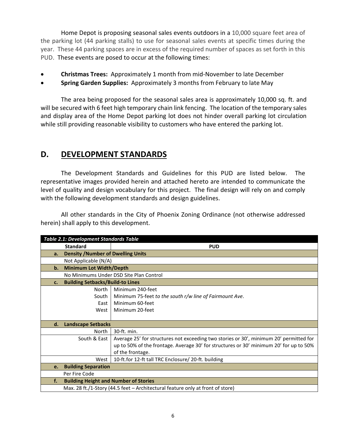Home Depot is proposing seasonal sales events outdoors in a 10,000 square feet area of the parking lot (44 parking stalls) to use for seasonal sales events at specific times during the year. These 44 parking spaces are in excess of the required number of spaces as set forth in this PUD. These events are posed to occur at the following times:

- **Christmas Trees:** Approximately 1 month from mid-November to late December
- **Spring Garden Supplies:** Approximately 3 months from February to late May

The area being proposed for the seasonal sales area is approximately 10,000 sq. ft. and will be secured with 6 feet high temporary chain link fencing. The location of the temporary sales and display area of the Home Depot parking lot does not hinder overall parking lot circulation while still providing reasonable visibility to customers who have entered the parking lot.

# **D. DEVELOPMENT STANDARDS**

The Development Standards and Guidelines for this PUD are listed below. The representative images provided herein and attached hereto are intended to communicate the level of quality and design vocabulary for this project. The final design will rely on and comply with the following development standards and design guidelines.

All other standards in the City of Phoenix Zoning Ordinance (not otherwise addressed herein) shall apply to this development.

|                | <b>Table 2.1: Development Standards Table</b>                                  |                                                                                        |  |  |
|----------------|--------------------------------------------------------------------------------|----------------------------------------------------------------------------------------|--|--|
|                | <b>Standard</b>                                                                | <b>PUD</b>                                                                             |  |  |
| a.             | <b>Density / Number of Dwelling Units</b>                                      |                                                                                        |  |  |
|                | Not Applicable (N/A)                                                           |                                                                                        |  |  |
| $\mathbf{b}$ . | <b>Minimum Lot Width/Depth</b>                                                 |                                                                                        |  |  |
|                |                                                                                | No Minimums Under DSD Site Plan Control                                                |  |  |
| c.             | <b>Building Setbacks/Build-to Lines</b>                                        |                                                                                        |  |  |
|                | North                                                                          | Minimum 240-feet                                                                       |  |  |
|                | South                                                                          | Minimum 75-feet to the south r/w line of Fairmount Ave.                                |  |  |
|                | East                                                                           | Minimum 60-feet                                                                        |  |  |
|                | West                                                                           | Minimum 20-feet                                                                        |  |  |
|                |                                                                                |                                                                                        |  |  |
| d.             | <b>Landscape Setbacks</b>                                                      |                                                                                        |  |  |
|                | North                                                                          | 30-ft. min.                                                                            |  |  |
|                | South & East                                                                   | Average 25' for structures not exceeding two stories or 30', minimum 20' permitted for |  |  |
|                |                                                                                | up to 50% of the frontage. Average 30' for structures or 30' minimum 20' for up to 50% |  |  |
|                |                                                                                | of the frontage.                                                                       |  |  |
|                | West                                                                           | 10-ft.for 12-ft tall TRC Enclosure/ 20-ft. building                                    |  |  |
| e.             | <b>Building Separation</b>                                                     |                                                                                        |  |  |
|                | Per Fire Code                                                                  |                                                                                        |  |  |
| f.             | <b>Building Height and Number of Stories</b>                                   |                                                                                        |  |  |
|                | Max. 28 ft./1-Story (44.5 feet - Architectural feature only at front of store) |                                                                                        |  |  |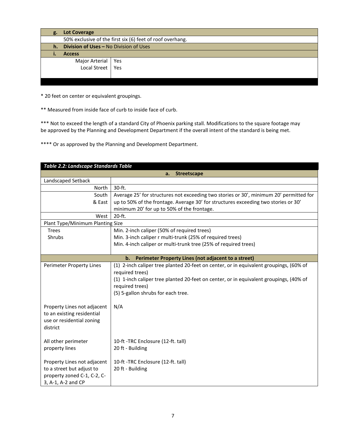| g. | <b>Lot Coverage</b>                                       |  |  |
|----|-----------------------------------------------------------|--|--|
|    | 50% exclusive of the first six (6) feet of roof overhang. |  |  |
| h. | Division of Uses - No Division of Uses                    |  |  |
|    | <b>Access</b>                                             |  |  |
|    | Major Arterial   Yes                                      |  |  |
|    | Local Street   Yes                                        |  |  |
|    |                                                           |  |  |
|    |                                                           |  |  |

\* 20 feet on center or equivalent groupings.

\*\* Measured from inside face of curb to inside face of curb.

\*\*\* Not to exceed the length of a standard City of Phoenix parking stall. Modifications to the square footage may be approved by the Planning and Development Department if the overall intent of the standard is being met.

\*\*\*\* Or as approved by the Planning and Development Department.

| <b>Table 2.2: Landscape Standards Table</b> |                                                                                        |  |  |
|---------------------------------------------|----------------------------------------------------------------------------------------|--|--|
| <b>Streetscape</b><br>a.                    |                                                                                        |  |  |
| Landscaped Setback                          |                                                                                        |  |  |
| North                                       | 30-ft.                                                                                 |  |  |
| South                                       | Average 25' for structures not exceeding two stories or 30', minimum 20' permitted for |  |  |
| & East                                      | up to 50% of the frontage. Average 30' for structures exceeding two stories or 30'     |  |  |
|                                             | minimum 20' for up to 50% of the frontage.                                             |  |  |
| West                                        | $20-ft.$                                                                               |  |  |
| Plant Type/Minimum Planting Size            |                                                                                        |  |  |
| <b>Trees</b>                                | Min. 2-inch caliper (50% of required trees)                                            |  |  |
| Shrubs                                      | Min. 3-inch caliper r multi-trunk (25% of required trees)                              |  |  |
|                                             | Min. 4-inch caliper or multi-trunk tree (25% of required trees)                        |  |  |
|                                             |                                                                                        |  |  |
|                                             | Perimeter Property Lines (not adjacent to a street)<br>b.                              |  |  |
| Perimeter Property Lines                    | (1) 2-inch caliper tree planted 20-feet on center, or in equivalent groupings, (60% of |  |  |
|                                             | required trees)                                                                        |  |  |
|                                             | (1) 1-inch caliper tree planted 20-feet on center, or in equivalent groupings, (40% of |  |  |
|                                             | required trees)                                                                        |  |  |
|                                             | (5) 5-gallon shrubs for each tree.                                                     |  |  |
|                                             |                                                                                        |  |  |
| Property Lines not adjacent                 | N/A                                                                                    |  |  |
| to an existing residential                  |                                                                                        |  |  |
| use or residential zoning                   |                                                                                        |  |  |
| district                                    |                                                                                        |  |  |
|                                             |                                                                                        |  |  |
| All other perimeter                         | 10-ft -TRC Enclosure (12-ft. tall)                                                     |  |  |
| property lines                              | 20 ft - Building                                                                       |  |  |
| Property Lines not adjacent                 | 10-ft -TRC Enclosure (12-ft. tall)                                                     |  |  |
|                                             |                                                                                        |  |  |
| to a street but adjust to                   | 20 ft - Building                                                                       |  |  |
| property zoned C-1, C-2, C-                 |                                                                                        |  |  |
| 3, A-1, A-2 and CP                          |                                                                                        |  |  |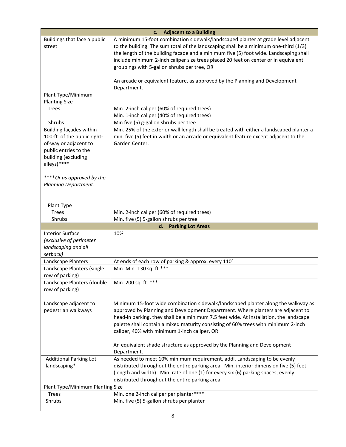| <b>Adjacent to a Building</b><br>c.                                                                                                                                                                                                                                           |                                                                                                                                                                                                                                                                                                                                                                                                                                                                                                  |  |  |
|-------------------------------------------------------------------------------------------------------------------------------------------------------------------------------------------------------------------------------------------------------------------------------|--------------------------------------------------------------------------------------------------------------------------------------------------------------------------------------------------------------------------------------------------------------------------------------------------------------------------------------------------------------------------------------------------------------------------------------------------------------------------------------------------|--|--|
| Buildings that face a public<br>street                                                                                                                                                                                                                                        | A minimum 15-foot combination sidewalk/landscaped planter at grade level adjacent<br>to the building. The sum total of the landscaping shall be a minimum one-third (1/3)<br>the length of the building facade and a minimum five (5) foot wide. Landscaping shall<br>include minimum 2-inch caliper size trees placed 20 feet on center or in equivalent<br>groupings with 5-gallon shrubs per tree, OR<br>An arcade or equivalent feature, as approved by the Planning and Development         |  |  |
|                                                                                                                                                                                                                                                                               | Department.                                                                                                                                                                                                                                                                                                                                                                                                                                                                                      |  |  |
| Plant Type/Minimum<br><b>Planting Size</b><br><b>Trees</b><br>Shrubs<br>Building façades within<br>100-ft. of the public right-<br>of-way or adjacent to<br>public entries to the<br>building (excluding<br>alleys) ****<br>****Or as approved by the<br>Planning Department. | Min. 2-inch caliper (60% of required trees)<br>Min. 1-inch caliper (40% of required trees)<br>Min five (5) g-gallon shrubs per tree<br>Min. 25% of the exterior wall length shall be treated with either a landscaped planter a<br>min. five (5) feet in width or an arcade or equivalent feature except adjacent to the<br>Garden Center.                                                                                                                                                       |  |  |
| Plant Type<br><b>Trees</b><br>Shrubs                                                                                                                                                                                                                                          | Min. 2-inch caliper (60% of required trees)<br>Min. five (5) 5-gallon shrubs per tree                                                                                                                                                                                                                                                                                                                                                                                                            |  |  |
|                                                                                                                                                                                                                                                                               | <b>Parking Lot Areas</b><br>d.                                                                                                                                                                                                                                                                                                                                                                                                                                                                   |  |  |
| <b>Interior Surface</b><br>(exclusive of perimeter<br>landscaping and all<br>setback)                                                                                                                                                                                         | 10%                                                                                                                                                                                                                                                                                                                                                                                                                                                                                              |  |  |
| Landscape Planters                                                                                                                                                                                                                                                            | At ends of each row of parking & approx. every 110'                                                                                                                                                                                                                                                                                                                                                                                                                                              |  |  |
| Landscape Planters (single<br>row of parking)                                                                                                                                                                                                                                 | Min. Min. 130 sq. ft.***                                                                                                                                                                                                                                                                                                                                                                                                                                                                         |  |  |
| Landscape Planters (double<br>row of parking)                                                                                                                                                                                                                                 | Min. 200 sq. ft. ***                                                                                                                                                                                                                                                                                                                                                                                                                                                                             |  |  |
| Landscape adjacent to<br>pedestrian walkways                                                                                                                                                                                                                                  | Minimum 15-foot wide combination sidewalk/landscaped planter along the walkway as<br>approved by Planning and Development Department. Where planters are adjacent to<br>head-in parking, they shall be a minimum 7.5 feet wide. At installation, the landscape<br>palette shall contain a mixed maturity consisting of 60% trees with minimum 2-inch<br>caliper, 40% with minimum 1-inch caliper, OR<br>An equivalent shade structure as approved by the Planning and Development<br>Department. |  |  |
| <b>Additional Parking Lot</b><br>landscaping*                                                                                                                                                                                                                                 | As needed to meet 10% minimum requirement, addl. Landscaping to be evenly<br>distributed throughout the entire parking area. Min. interior dimension five (5) feet<br>(length and width). Min. rate of one (1) for every six (6) parking spaces, evenly<br>distributed throughout the entire parking area.                                                                                                                                                                                       |  |  |
| Plant Type/Minimum Planting Size                                                                                                                                                                                                                                              |                                                                                                                                                                                                                                                                                                                                                                                                                                                                                                  |  |  |
| <b>Trees</b>                                                                                                                                                                                                                                                                  |                                                                                                                                                                                                                                                                                                                                                                                                                                                                                                  |  |  |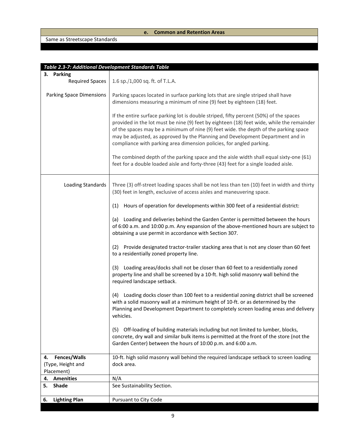### **e. Common and Retention Areas**

### Same as Streetscape Standards

| Table 2.3-7: Additional Development Standards Table   |                                                                                                                                                                                                                                                                                                                                                                                                                                       |
|-------------------------------------------------------|---------------------------------------------------------------------------------------------------------------------------------------------------------------------------------------------------------------------------------------------------------------------------------------------------------------------------------------------------------------------------------------------------------------------------------------|
| 3. Parking                                            |                                                                                                                                                                                                                                                                                                                                                                                                                                       |
| <b>Required Spaces</b>                                | 1.6 sp./1,000 sq. ft. of T.L.A.                                                                                                                                                                                                                                                                                                                                                                                                       |
| <b>Parking Space Dimensions</b>                       | Parking spaces located in surface parking lots that are single striped shall have<br>dimensions measuring a minimum of nine (9) feet by eighteen (18) feet.                                                                                                                                                                                                                                                                           |
|                                                       | If the entire surface parking lot is double striped, fifty percent (50%) of the spaces<br>provided in the lot must be nine (9) feet by eighteen (18) feet wide, while the remainder<br>of the spaces may be a minimum of nine (9) feet wide. the depth of the parking space<br>may be adjusted, as approved by the Planning and Development Department and in<br>compliance with parking area dimension policies, for angled parking. |
|                                                       | The combined depth of the parking space and the aisle width shall equal sixty-one (61)<br>feet for a double loaded aisle and forty-three (43) feet for a single loaded aisle.                                                                                                                                                                                                                                                         |
| <b>Loading Standards</b>                              | Three (3) off-street loading spaces shall be not less than ten (10) feet in width and thirty<br>(30) feet in length, exclusive of access aisles and maneuvering space.                                                                                                                                                                                                                                                                |
|                                                       | Hours of operation for developments within 300 feet of a residential district:<br>(1)                                                                                                                                                                                                                                                                                                                                                 |
|                                                       | (a) Loading and deliveries behind the Garden Center is permitted between the hours<br>of 6:00 a.m. and 10:00 p.m. Any expansion of the above-mentioned hours are subject to<br>obtaining a use permit in accordance with Section 307.                                                                                                                                                                                                 |
|                                                       | Provide designated tractor-trailer stacking area that is not any closer than 60 feet<br>(2)<br>to a residentially zoned property line.                                                                                                                                                                                                                                                                                                |
|                                                       | Loading areas/docks shall not be closer than 60 feet to a residentially zoned<br>(3)<br>property line and shall be screened by a 10-ft. high solid masonry wall behind the<br>required landscape setback.                                                                                                                                                                                                                             |
|                                                       | (4) Loading docks closer than 100 feet to a residential zoning district shall be screened<br>with a solid masonry wall at a minimum height of 10-ft. or as determined by the<br>Planning and Development Department to completely screen loading areas and delivery<br>vehicles.                                                                                                                                                      |
|                                                       | Off-loading of building materials including but not limited to lumber, blocks,<br>(5)<br>concrete, dry wall and similar bulk items is permitted at the front of the store (not the<br>Garden Center) between the hours of 10:00 p.m. and 6:00 a.m.                                                                                                                                                                                    |
| Fences/Walls<br>4.<br>(Type, Height and<br>Placement) | 10-ft. high solid masonry wall behind the required landscape setback to screen loading<br>dock area.                                                                                                                                                                                                                                                                                                                                  |
| <b>Amenities</b><br>4.                                | N/A                                                                                                                                                                                                                                                                                                                                                                                                                                   |
| <b>Shade</b><br>5.                                    | See Sustainability Section.                                                                                                                                                                                                                                                                                                                                                                                                           |
| <b>Lighting Plan</b><br>6.                            | Pursuant to City Code                                                                                                                                                                                                                                                                                                                                                                                                                 |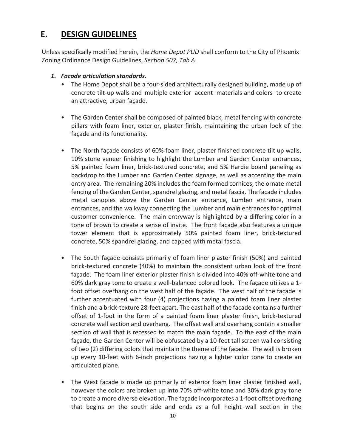# **E. DESIGN GUIDELINES**

Unless specifically modified herein, the *Home Depot PUD* shall conform to the City of Phoenix Zoning Ordinance Design Guidelines, *Section 507, Tab A*.

- *1. Facade articulation standards.*
	- The Home Depot shall be a four-sided architecturally designed building, made up of concrete tilt-up walls and multiple exterior accent materials and colors to create an attractive, urban façade.
	- The Garden Center shall be composed of painted black, metal fencing with concrete pillars with foam liner, exterior, plaster finish, maintaining the urban look of the façade and its functionality.
	- The North façade consists of 60% foam liner, plaster finished concrete tilt up walls, 10% stone veneer finishing to highlight the Lumber and Garden Center entrances, 5% painted foam liner, brick-textured concrete, and 5% Hardie board paneling as backdrop to the Lumber and Garden Center signage, as well as accenting the main entry area. The remaining 20% includes the foam formed cornices, the ornate metal fencing of the Garden Center, spandrel glazing, and metal fascia. The façade includes metal canopies above the Garden Center entrance, Lumber entrance, main entrances, and the walkway connecting the Lumber and main entrances for optimal customer convenience. The main entryway is highlighted by a differing color in a tone of brown to create a sense of invite. The front façade also features a unique tower element that is approximately 50% painted foam liner, brick-textured concrete, 50% spandrel glazing, and capped with metal fascia.
	- The South façade consists primarily of foam liner plaster finish (50%) and painted brick-textured concrete (40%) to maintain the consistent urban look of the front façade. The foam liner exterior plaster finish is divided into 40% off-white tone and 60% dark gray tone to create a well-balanced colored look. The façade utilizes a 1 foot offset overhang on the west half of the façade. The west half of the façade is further accentuated with four (4) projections having a painted foam liner plaster finish and a brick-texture 28-feet apart. The east half of the facade contains a further offset of 1-foot in the form of a painted foam liner plaster finish, brick-textured concrete wall section and overhang. The offset wall and overhang contain a smaller section of wall that is recessed to match the main façade. To the east of the main façade, the Garden Center will be obfuscated by a 10-feet tall screen wall consisting of two (2) differing colors that maintain the theme of the facade. The wall is broken up every 10-feet with 6-inch projections having a lighter color tone to create an articulated plane.
	- The West façade is made up primarily of exterior foam liner plaster finished wall, however the colors are broken up into 70% off-white tone and 30% dark gray tone to create a more diverse elevation. The façade incorporates a 1-foot offset overhang that begins on the south side and ends as a full height wall section in the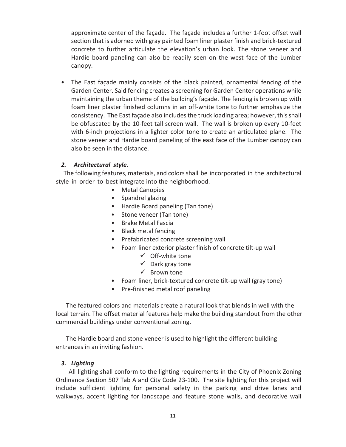approximate center of the façade. The façade includes a further 1-foot offset wall section that is adorned with gray painted foam liner plaster finish and brick-textured concrete to further articulate the elevation's urban look. The stone veneer and Hardie board paneling can also be readily seen on the west face of the Lumber canopy.

• The East façade mainly consists of the black painted, ornamental fencing of the Garden Center. Said fencing creates a screening for Garden Center operations while maintaining the urban theme of the building's façade. The fencing is broken up with foam liner plaster finished columns in an off-white tone to further emphasize the consistency. The East façade also includes the truck loading area; however, this shall be obfuscated by the 10-feet tall screen wall. The wall is broken up every 10-feet with 6-inch projections in a lighter color tone to create an articulated plane. The stone veneer and Hardie board paneling of the east face of the Lumber canopy can also be seen in the distance.

### *2. Architectural style.*

The following features, materials, and colorsshall be incorporated in the architectural style in order to best integrate into the neighborhood.

- Metal Canopies
- Spandrel glazing
- Hardie Board paneling (Tan tone)
- Stone veneer (Tan tone)
- Brake Metal Fascia
- Black metal fencing
- Prefabricated concrete screening wall
- Foam liner exterior plaster finish of concrete tilt-up wall
	- $\checkmark$  Off-white tone
	- $\checkmark$  Dark gray tone
	- $\checkmark$  Brown tone
- Foam liner, brick-textured concrete tilt-up wall (gray tone)
- Pre-finished metal roof paneling

The featured colors and materials create a natural look that blends in well with the local terrain. The offset material features help make the building standout from the other commercial buildings under conventional zoning.

The Hardie board and stone veneer is used to highlight the different building entrances in an inviting fashion.

### *3. Lighting*

All lighting shall conform to the lighting requirements in the City of Phoenix Zoning Ordinance Section 507 Tab A and City Code 23-100. The site lighting for this project will include sufficient lighting for personal safety in the parking and drive lanes and walkways, accent lighting for landscape and feature stone walls, and decorative wall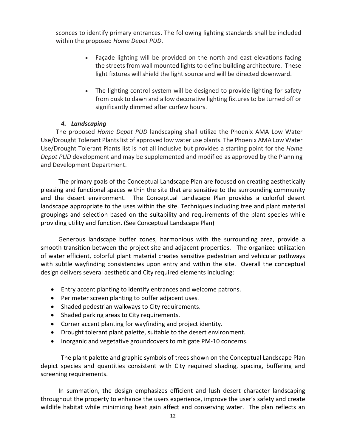sconces to identify primary entrances. The following lighting standards shall be included within the proposed *Home Depot PUD*.

- Façade lighting will be provided on the north and east elevations facing the streets from wall mounted lights to define building architecture. These light fixtures will shield the light source and will be directed downward.
- The lighting control system will be designed to provide lighting for safety from dusk to dawn and allow decorative lighting fixtures to be turned off or significantly dimmed after curfew hours.

### *4. Landscaping*

The proposed *Home Depot PUD* landscaping shall utilize the Phoenix AMA Low Water Use/Drought Tolerant Plants list of approved low water use plants. The Phoenix AMA Low Water Use/Drought Tolerant Plants list is not all inclusive but provides a starting point for the *Home Depot PUD* development and may be supplemented and modified as approved by the Planning and Development Department.

The primary goals of the Conceptual Landscape Plan are focused on creating aesthetically pleasing and functional spaces within the site that are sensitive to the surrounding community and the desert environment. The Conceptual Landscape Plan provides a colorful desert landscape appropriate to the uses within the site. Techniques including tree and plant material groupings and selection based on the suitability and requirements of the plant species while providing utility and function. (See Conceptual Landscape Plan)

Generous landscape buffer zones, harmonious with the surrounding area, provide a smooth transition between the project site and adjacent properties. The organized utilization of water efficient, colorful plant material creates sensitive pedestrian and vehicular pathways with subtle wayfinding consistencies upon entry and within the site. Overall the conceptual design delivers several aesthetic and City required elements including:

- Entry accent planting to identify entrances and welcome patrons.
- Perimeter screen planting to buffer adjacent uses.
- Shaded pedestrian walkways to City requirements.
- Shaded parking areas to City requirements.
- Corner accent planting for wayfinding and project identity.
- Drought tolerant plant palette, suitable to the desert environment.
- Inorganic and vegetative groundcovers to mitigate PM-10 concerns.

The plant palette and graphic symbols of trees shown on the Conceptual Landscape Plan depict species and quantities consistent with City required shading, spacing, buffering and screening requirements.

In summation, the design emphasizes efficient and lush desert character landscaping throughout the property to enhance the users experience, improve the user's safety and create wildlife habitat while minimizing heat gain affect and conserving water. The plan reflects an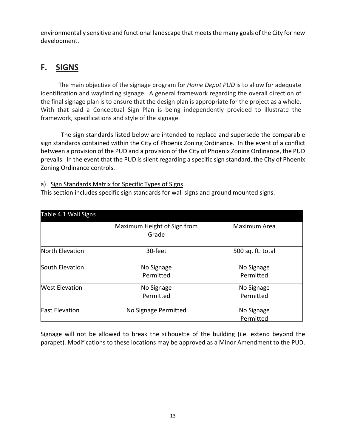environmentally sensitive and functional landscape that meets the many goals of the City for new development.

# **F. SIGNS**

The main objective of the signage program for *Home Depot PUD* is to allow for adequate identification and wayfinding signage. A general framework regarding the overall direction of the final signage plan is to ensure that the design plan is appropriate for the project as a whole. With that said a Conceptual Sign Plan is being independently provided to illustrate the framework, specifications and style of the signage.

The sign standards listed below are intended to replace and supersede the comparable sign standards contained within the City of Phoenix Zoning Ordinance. In the event of a conflict between a provision of the PUD and a provision of the City of Phoenix Zoning Ordinance, the PUD prevails. In the event that the PUD is silent regarding a specific sign standard, the City of Phoenix Zoning Ordinance controls.

### a) Sign Standards Matrix for Specific Types of Signs

This section includes specific sign standards for wall signs and ground mounted signs.

| Table 4.1 Wall Signs  |                                      |                         |
|-----------------------|--------------------------------------|-------------------------|
|                       | Maximum Height of Sign from<br>Grade | Maximum Area            |
| North Elevation       | 30-feet                              | 500 sq. ft. total       |
| South Elevation       | No Signage<br>Permitted              | No Signage<br>Permitted |
| <b>West Elevation</b> | No Signage<br>Permitted              | No Signage<br>Permitted |
| <b>East Elevation</b> | No Signage Permitted                 | No Signage<br>Permitted |

Signage will not be allowed to break the silhouette of the building (i.e. extend beyond the parapet). Modifications to these locations may be approved as a Minor Amendment to the PUD.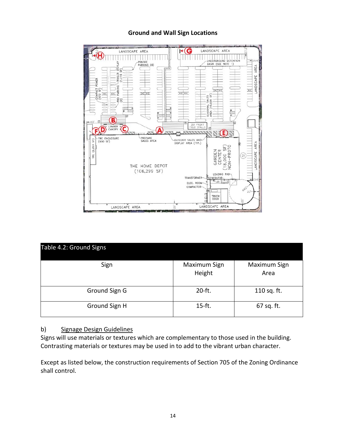### **Ground and Wall Sign Locations**



| Table 4.2: Ground Signs |                        |                      |  |  |
|-------------------------|------------------------|----------------------|--|--|
| Sign                    | Maximum Sign<br>Height | Maximum Sign<br>Area |  |  |
| Ground Sign G           | $20-ft.$               | 110 sq. ft.          |  |  |
| Ground Sign H           | $15-ft.$               | 67 sq. ft.           |  |  |

### b) Signage Design Guidelines

Signs will use materials or textures which are complementary to those used in the building. Contrasting materials or textures may be used in to add to the vibrant urban character.

Except as listed below, the construction requirements of Section 705 of the Zoning Ordinance shall control.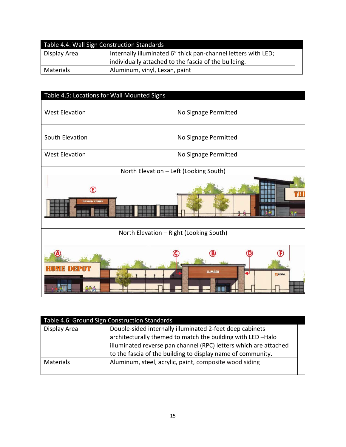| Table 4.4: Wall Sign Construction Standards |                                                               |  |  |
|---------------------------------------------|---------------------------------------------------------------|--|--|
| Display Area                                | Internally illuminated 6" thick pan-channel letters with LED; |  |  |
|                                             | individually attached to the fascia of the building.          |  |  |
| Materials                                   | Aluminum, vinyl, Lexan, paint                                 |  |  |

| Table 4.5: Locations for Wall Mounted Signs |  |  |  |
|---------------------------------------------|--|--|--|
| No Signage Permitted                        |  |  |  |
| No Signage Permitted                        |  |  |  |
| No Signage Permitted                        |  |  |  |
| North Elevation - Left (Looking South)      |  |  |  |
| THI                                         |  |  |  |
| 才首                                          |  |  |  |
| North Elevation - Right (Looking South)     |  |  |  |
|                                             |  |  |  |
| B<br><b>LUMBER</b><br>RENTAL                |  |  |  |
|                                             |  |  |  |

| Table 4.6: Ground Sign Construction Standards |                                                                  |  |  |
|-----------------------------------------------|------------------------------------------------------------------|--|--|
| Display Area                                  | Double-sided internally illuminated 2-feet deep cabinets         |  |  |
|                                               | architecturally themed to match the building with LED-Halo       |  |  |
|                                               | illuminated reverse pan channel (RPC) letters which are attached |  |  |
|                                               | to the fascia of the building to display name of community.      |  |  |
| Materials                                     | Aluminum, steel, acrylic, paint, composite wood siding           |  |  |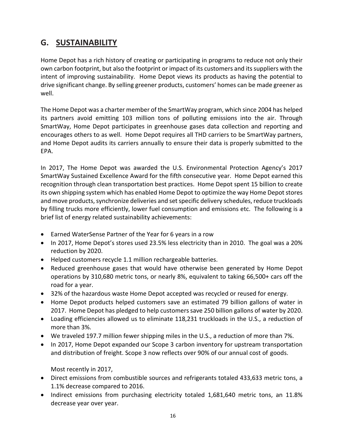# **G. SUSTAINABILITY**

Home Depot has a rich history of creating or participating in programs to reduce not only their own carbon footprint, but also the footprint or impact of its customers and its suppliers with the intent of improving sustainability. Home Depot views its products as having the potential to drive significant change. By selling greener products, customers' homes can be made greener as well.

The Home Depot was a charter member of the SmartWay program, which since 2004 has helped its partners avoid emitting 103 million tons of polluting emissions into the air. Through SmartWay, Home Depot participates in greenhouse gases data collection and reporting and encourages others to as well. Home Depot requires all THD carriers to be SmartWay partners, and Home Depot audits its carriers annually to ensure their data is properly submitted to the EPA.

In 2017, The Home Depot was awarded the U.S. Environmental Protection Agency's 2017 SmartWay Sustained Excellence Award for the fifth consecutive year. Home Depot earned this recognition through clean transportation best practices. Home Depot spent 15 billion to create its own shipping system which has enabled Home Depot to optimize the way Home Depot stores and move products, synchronize deliveries and set specific delivery schedules, reduce truckloads by filling trucks more efficiently, lower fuel consumption and emissions etc. The following is a brief list of energy related sustainability achievements:

- Earned WaterSense Partner of the Year for 6 years in a row
- In 2017, Home Depot's stores used 23.5% less electricity than in 2010. The goal was a 20% reduction by 2020.
- Helped customers recycle 1.1 million rechargeable batteries.
- Reduced greenhouse gases that would have otherwise been generated by Home Depot operations by 310,680 metric tons, or nearly 8%, equivalent to taking 66,500+ cars off the road for a year.
- 32% of the hazardous waste Home Depot accepted was recycled or reused for energy.
- Home Depot products helped customers save an estimated 79 billion gallons of water in 2017. Home Depot has pledged to help customers save 250 billion gallons of water by 2020.
- Loading efficiencies allowed us to eliminate 118,231 truckloads in the U.S., a reduction of more than 3%.
- We traveled 197.7 million fewer shipping miles in the U.S., a reduction of more than 7%.
- In 2017, Home Depot expanded our Scope 3 carbon inventory for upstream transportation and distribution of freight. Scope 3 now reflects over 90% of our annual cost of goods.

Most recently in 2017,

- Direct emissions from combustible sources and refrigerants totaled 433,633 metric tons, a 1.1% decrease compared to 2016.
- Indirect emissions from purchasing electricity totaled 1,681,640 metric tons, an 11.8% decrease year over year.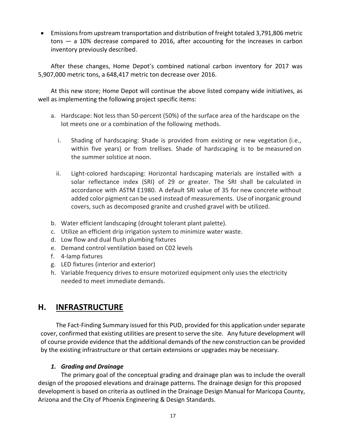• Emissions from upstream transportation and distribution of freight totaled 3,791,806 metric tons — a 10% decrease compared to 2016, after accounting for the increases in carbon inventory previously described.

After these changes, Home Depot's combined national carbon inventory for 2017 was 5,907,000 metric tons, a 648,417 metric ton decrease over 2016.

At this new store; Home Depot will continue the above listed company wide initiatives, as well as implementing the following project specific items:

- a. Hardscape: Not less than 50-percent (50%) of the surface area of the hardscape on the lot meets one or a combination of the following methods.
	- i. Shading of hardscaping: Shade is provided from existing or new vegetation (i.e., within five years) or from trellises. Shade of hardscaping is to be measured on the summer solstice at noon.
	- ii. Light-colored hardscaping: Horizontal hardscaping materials are installed with a solar reflectance index (SRI) of 29 or greater. The SRI shall be calculated in accordance with ASTM E1980. A default SRI value of 35 for new concrete without added color pigment can be used instead of measurements. Use of inorganic ground covers, such as decomposed granite and crushed gravel with be utilized.
- b. Water efficient landscaping (drought tolerant plant palette).
- c. Utilize an efficient drip irrigation system to minimize water waste.
- d. Low flow and dual flush plumbing fixtures
- e. Demand control ventilation based on C02 levels
- f. 4-lamp fixtures
- g. LED fixtures (interior and exterior)
- h. Variable frequency drives to ensure motorized equipment only uses the electricity needed to meet immediate demands.

# **H. INFRASTRUCTURE**

The Fact-Finding Summary issued for this PUD, provided for this application under separate cover, confirmed that existing utilities are present to serve the site. Any future development will of course provide evidence that the additional demands of the new construction can be provided by the existing infrastructure or that certain extensions or upgrades may be necessary.

### *1. Grading and Drainage*

The primary goal of the conceptual grading and drainage plan was to include the overall design of the proposed elevations and drainage patterns. The drainage design for this proposed development is based on criteria as outlined in the Drainage Design Manual for Maricopa County, Arizona and the City of Phoenix Engineering & Design Standards.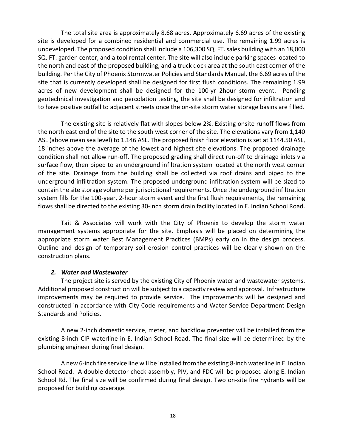The total site area is approximately 8.68 acres. Approximately 6.69 acres of the existing site is developed for a combined residential and commercial use. The remaining 1.99 acres is undeveloped. The proposed condition shall include a 106,300 SQ. FT. sales building with an 18,000 SQ. FT. garden center, and a tool rental center. The site will also include parking spaces located to the north and east of the proposed building, and a truck dock area at the south east corner of the building. Per the City of Phoenix Stormwater Policies and Standards Manual, the 6.69 acres of the site that is currently developed shall be designed for first flush conditions. The remaining 1.99 acres of new development shall be designed for the 100-yr 2hour storm event. Pending geotechnical investigation and percolation testing, the site shall be designed for infiltration and to have positive outfall to adjacent streets once the on-site storm water storage basins are filled.

The existing site is relatively flat with slopes below 2%. Existing onsite runoff flows from the north east end of the site to the south west corner of the site. The elevations vary from 1,140 ASL (above mean sea level) to 1,146 ASL. The proposed finish floor elevation is set at 1144.50 ASL, 18 inches above the average of the lowest and highest site elevations. The proposed drainage condition shall not allow run-off. The proposed grading shall direct run-off to drainage inlets via surface flow, then piped to an underground infiltration system located at the north west corner of the site. Drainage from the building shall be collected via roof drains and piped to the underground infiltration system. The proposed underground infiltration system will be sized to contain the site storage volume per jurisdictional requirements. Once the underground infiltration system fills for the 100-year, 2-hour storm event and the first flush requirements, the remaining flows shall be directed to the existing 30-inch storm drain facility located in E. Indian School Road.

Tait & Associates will work with the City of Phoenix to develop the storm water management systems appropriate for the site. Emphasis will be placed on determining the appropriate storm water Best Management Practices (BMPs) early on in the design process. Outline and design of temporary soil erosion control practices will be clearly shown on the construction plans.

#### *2. Water and Wastewater*

The project site is served by the existing City of Phoenix water and wastewater systems. Additional proposed construction will be subject to a capacity review and approval. Infrastructure improvements may be required to provide service. The improvements will be designed and constructed in accordance with City Code requirements and Water Service Department Design Standards and Policies.

A new 2-inch domestic service, meter, and backflow preventer will be installed from the existing 8-inch CIP waterline in E. Indian School Road. The final size will be determined by the plumbing engineer during final design.

A new 6-inch fire service line will be installed from the existing 8-inch waterline in E. Indian School Road. A double detector check assembly, PIV, and FDC will be proposed along E. Indian School Rd. The final size will be confirmed during final design. Two on-site fire hydrants will be proposed for building coverage.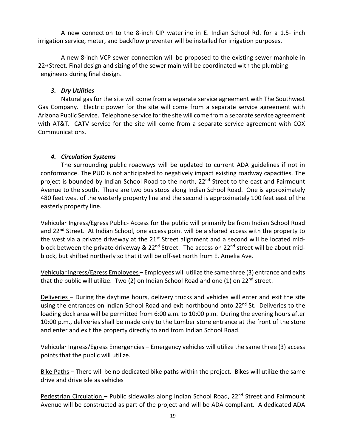A new connection to the 8-inch CIP waterline in E. Indian School Rd. for a 1.5- inch irrigation service, meter, and backflow preventer will be installed for irrigation purposes.

A new 8-inch VCP sewer connection will be proposed to the existing sewer manhole in 22<sup>nd</sup> Street. Final design and sizing of the sewer main will be coordinated with the plumbing engineers during final design.

### *3. Dry Utilities*

Natural gas for the site will come from a separate service agreement with The Southwest Gas Company. Electric power for the site will come from a separate service agreement with Arizona Public Service. Telephone service for the site will come from a separate service agreement with AT&T. CATV service for the site will come from a separate service agreement with COX Communications.

### *4. Circulation Systems*

The surrounding public roadways will be updated to current ADA guidelines if not in conformance. The PUD is not anticipated to negatively impact existing roadway capacities. The project is bounded by Indian School Road to the north, 22<sup>nd</sup> Street to the east and Fairmount Avenue to the south. There are two bus stops along Indian School Road. One is approximately 480 feet west of the westerly property line and the second is approximately 100 feet east of the easterly property line.

Vehicular Ingress/Egress Public- Access for the public will primarily be from Indian School Road and 22<sup>nd</sup> Street. At Indian School, one access point will be a shared access with the property to the west via a private driveway at the 21<sup>st</sup> Street alignment and a second will be located midblock between the private driveway & 22<sup>nd</sup> Street. The access on 22<sup>nd</sup> street will be about midblock, but shifted northerly so that it will be off-set north from E. Amelia Ave.

Vehicular Ingress/Egress Employees – Employees will utilize the same three (3) entrance and exits that the public will utilize. Two (2) on Indian School Road and one (1) on  $22^{nd}$  street.

Deliveries – During the daytime hours, delivery trucks and vehicles will enter and exit the site using the entrances on Indian School Road and exit northbound onto 22<sup>nd</sup> St. Deliveries to the loading dock area will be permitted from 6:00 a.m. to 10:00 p.m. During the evening hours after 10:00 p.m., deliveries shall be made only to the Lumber store entrance at the front of the store and enter and exit the property directly to and from Indian School Road.

Vehicular Ingress/Egress Emergencies – Emergency vehicles will utilize the same three (3) access points that the public will utilize.

Bike Paths – There will be no dedicated bike paths within the project. Bikes will utilize the same drive and drive isle as vehicles

Pedestrian Circulation - Public sidewalks along Indian School Road, 22<sup>nd</sup> Street and Fairmount Avenue will be constructed as part of the project and will be ADA compliant. A dedicated ADA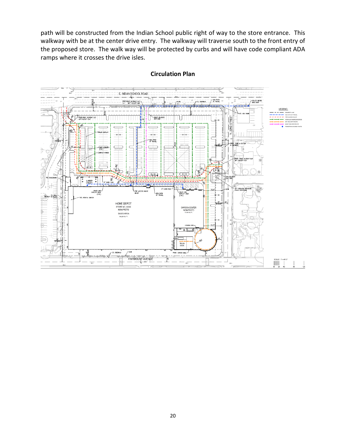path will be constructed from the Indian School public right of way to the store entrance. This walkway with be at the center drive entry. The walkway will traverse south to the front entry of the proposed store. The walk way will be protected by curbs and will have code compliant ADA ramps where it crosses the drive isles.



#### **Circulation Plan**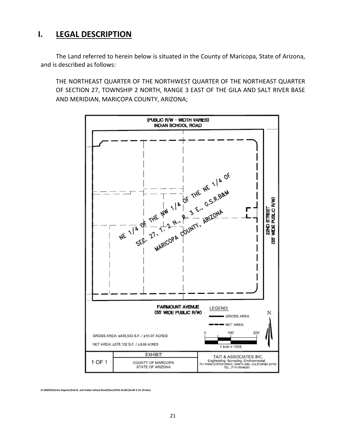# **I. LEGAL DESCRIPTION**

The Land referred to herein below is situated in the County of Maricopa, State of Arizona, and is described as follows:

THE NORTHEAST QUARTER OF THE NORTHWEST QUARTER OF THE NORTHEAST QUARTER OF SECTION 27, TOWNSHIP 2 NORTH, RANGE 3 EAST OF THE GILA AND SALT RIVER BASE AND MERIDIAN, MARICOPA COUNTY, ARIZONA;



**O:\INDEX\Home Depot\22nd St. and Indian School Road\Docs\PUD Drafts\Draft 2.15.19.docx**